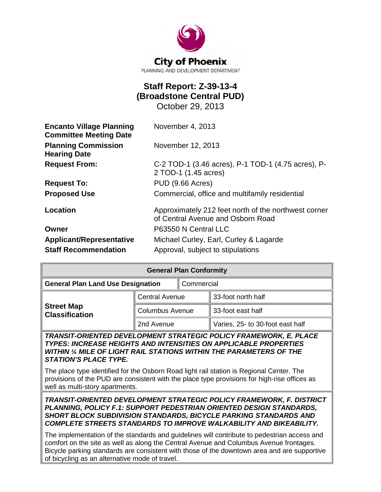

# **Staff Report: Z-39-13-4 (Broadstone Central PUD)**

October 29, 2013

| <b>Encanto Village Planning</b><br><b>Committee Meeting Date</b> | November 4, 2013                                                                          |  |  |
|------------------------------------------------------------------|-------------------------------------------------------------------------------------------|--|--|
| <b>Planning Commission</b><br><b>Hearing Date</b>                | November 12, 2013                                                                         |  |  |
| <b>Request From:</b>                                             | C-2 TOD-1 (3.46 acres), P-1 TOD-1 (4.75 acres), P-<br>2 TOD-1 (1.45 acres)                |  |  |
| <b>Request To:</b>                                               | PUD (9.66 Acres)                                                                          |  |  |
| <b>Proposed Use</b>                                              | Commercial, office and multifamily residential                                            |  |  |
| Location                                                         | Approximately 212 feet north of the northwest corner<br>of Central Avenue and Osborn Road |  |  |
| Owner                                                            | P63550 N Central LLC                                                                      |  |  |
| <b>Applicant/Representative</b>                                  | Michael Curley, Earl, Curley & Lagarde                                                    |  |  |
| <b>Staff Recommendation</b>                                      | Approval, subject to stipulations                                                         |  |  |

| <b>General Plan Conformity</b>                                                                                                               |                        |            |                                  |  |
|----------------------------------------------------------------------------------------------------------------------------------------------|------------------------|------------|----------------------------------|--|
| <b>General Plan Land Use Designation</b>                                                                                                     |                        | Commercial |                                  |  |
| <b>Street Map</b><br><b>Classification</b>                                                                                                   | <b>Central Avenue</b>  |            | 33-foot north half               |  |
|                                                                                                                                              | <b>Columbus Avenue</b> |            | 33-foot east half                |  |
|                                                                                                                                              | 2nd Avenue             |            | Varies, 25- to 30-foot east half |  |
| TRANSIT-ORIENTED DEVELOPMENT STRATEGIC POLICY FRAMEWORK, E. PLACE<br><b>TYPES: INCREASE HEIGHTS AND INTENSITIES ON APPLICABLE PROPERTIES</b> |                        |            |                                  |  |

*TYPES: INCREASE HEIGHTS AND INTENSITIES ON APPLICABLE PROPERTIES WITHIN ¼ MILE OF LIGHT RAIL STATIONS WITHIN THE PARAMETERS OF THE STATION'S PLACE TYPE.*

The place type identified for the Osborn Road light rail station is Regional Center. The provisions of the PUD are consistent with the place type provisions for high-rise offices as well as multi-story apartments.

*TRANSIT-ORIENTED DEVELOPMENT STRATEGIC POLICY FRAMEWORK, F. DISTRICT PLANNING, POLICY F.1: SUPPORT PEDESTRIAN ORIENTED DESIGN STANDARDS, SHORT BLOCK SUBDIVISION STANDARDS, BICYCLE PARKING STANDARDS AND COMPLETE STREETS STANDARDS TO IMPROVE WALKABILITY AND BIKEABILITY.*

The implementation of the standards and guidelines will contribute to pedestrian access and comfort on the site as well as along the Central Avenue and Columbus Avenue frontages. Bicycle parking standards are consistent with those of the downtown area and are supportive of bicycling as an alternative mode of travel.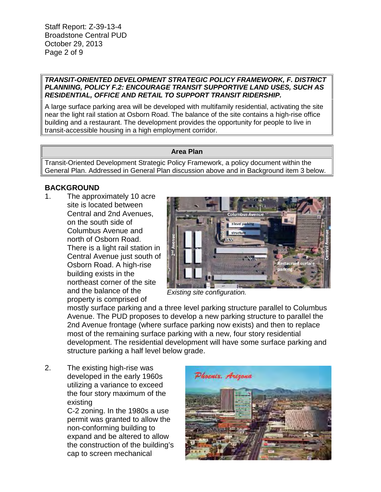Staff Report: Z-39-13-4 Broadstone Central PUD October 29, 2013 Page 2 of 9

#### *TRANSIT-ORIENTED DEVELOPMENT STRATEGIC POLICY FRAMEWORK, F. DISTRICT PLANNING, POLICY F.2: ENCOURAGE TRANSIT SUPPORTIVE LAND USES, SUCH AS RESIDENTIAL, OFFICE AND RETAIL TO SUPPORT TRANSIT RIDERSHIP.*

A large surface parking area will be developed with multifamily residential, activating the site near the light rail station at Osborn Road. The balance of the site contains a high-rise office building and a restaurant. The development provides the opportunity for people to live in transit-accessible housing in a high employment corridor.

#### **Area Plan**

Transit-Oriented Development Strategic Policy Framework, a policy document within the General Plan. Addressed in General Plan discussion above and in Background item 3 below.

# **BACKGROUND**

1. The approximately 10 acre site is located between Central and 2nd Avenues, on the south side of Columbus Avenue and north of Osborn Road. There is a light rail station in Central Avenue just south of Osborn Road. A high-rise building exists in the northeast corner of the site and the balance of the property is comprised of



*Existing site configuration.*

mostly surface parking and a three level parking structure parallel to Columbus Avenue. The PUD proposes to develop a new parking structure to parallel the 2nd Avenue frontage (where surface parking now exists) and then to replace most of the remaining surface parking with a new, four story residential development. The residential development will have some surface parking and structure parking a half level below grade.

2. The existing high-rise was developed in the early 1960s utilizing a variance to exceed the four story maximum of the existing C-2 zoning. In the 1980s a use

permit was granted to allow the non-conforming building to expand and be altered to allow the construction of the building's cap to screen mechanical

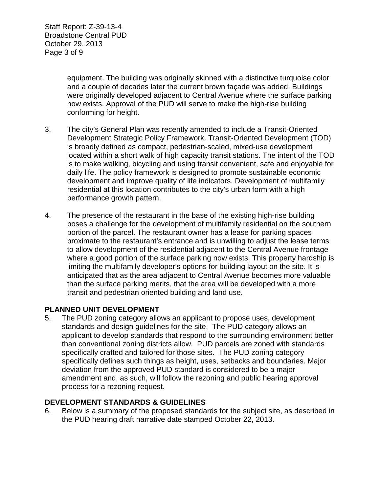Staff Report: Z-39-13-4 Broadstone Central PUD October 29, 2013 Page 3 of 9

> equipment. The building was originally skinned with a distinctive turquoise color and a couple of decades later the current brown façade was added. Buildings were originally developed adjacent to Central Avenue where the surface parking now exists. Approval of the PUD will serve to make the high-rise building conforming for height.

- 3. The city's General Plan was recently amended to include a Transit-Oriented Development Strategic Policy Framework. Transit-Oriented Development (TOD) is broadly defined as compact, pedestrian-scaled, mixed-use development located within a short walk of high capacity transit stations. The intent of the TOD is to make walking, bicycling and using transit convenient, safe and enjoyable for daily life. The policy framework is designed to promote sustainable economic development and improve quality of life indicators. Development of multifamily residential at this location contributes to the city's urban form with a high performance growth pattern.
- 4. The presence of the restaurant in the base of the existing high-rise building poses a challenge for the development of multifamily residential on the southern portion of the parcel. The restaurant owner has a lease for parking spaces proximate to the restaurant's entrance and is unwilling to adjust the lease terms to allow development of the residential adjacent to the Central Avenue frontage where a good portion of the surface parking now exists. This property hardship is limiting the multifamily developer's options for building layout on the site. It is anticipated that as the area adjacent to Central Avenue becomes more valuable than the surface parking merits, that the area will be developed with a more transit and pedestrian oriented building and land use.

## **PLANNED UNIT DEVELOPMENT**

5. The PUD zoning category allows an applicant to propose uses, development standards and design guidelines for the site. The PUD category allows an applicant to develop standards that respond to the surrounding environment better than conventional zoning districts allow. PUD parcels are zoned with standards specifically crafted and tailored for those sites. The PUD zoning category specifically defines such things as height, uses, setbacks and boundaries. Major deviation from the approved PUD standard is considered to be a major amendment and, as such, will follow the rezoning and public hearing approval process for a rezoning request.

#### **DEVELOPMENT STANDARDS & GUIDELINES**

6. Below is a summary of the proposed standards for the subject site, as described in the PUD hearing draft narrative date stamped October 22, 2013.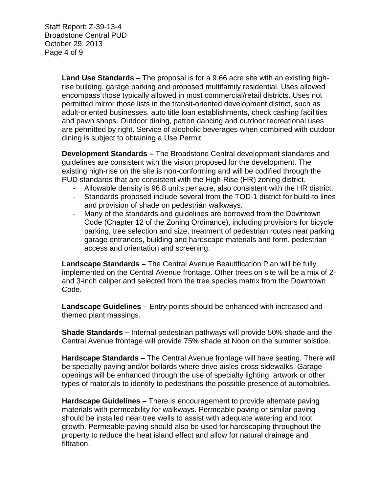Staff Report: Z-39-13-4 Broadstone Central PUD October 29, 2013 Page 4 of 9

> **Land Use Standards** – The proposal is for a 9.66 acre site with an existing highrise building, garage parking and proposed multifamily residential. Uses allowed encompass those typically allowed in most commercial/retail districts. Uses not permitted mirror those lists in the transit-oriented development district, such as adult-oriented businesses, auto title loan establishments, check cashing facilities and pawn shops. Outdoor dining, patron dancing and outdoor recreational uses are permitted by right. Service of alcoholic beverages when combined with outdoor dining is subject to obtaining a Use Permit.

**Development Standards –** The Broadstone Central development standards and guidelines are consistent with the vision proposed for the development. The existing high-rise on the site is non-conforming and will be codified through the PUD standards that are consistent with the High-Rise (HR) zoning district.

- Allowable density is 96.8 units per acre, also consistent with the HR district.
- Standards proposed include several from the TOD-1 district for build-to lines and provision of shade on pedestrian walkways.
- Many of the standards and guidelines are borrowed from the Downtown Code (Chapter 12 of the Zoning Ordinance), including provisions for bicycle parking, tree selection and size, treatment of pedestrian routes near parking garage entrances, building and hardscape materials and form, pedestrian access and orientation and screening.

**Landscape Standards –** The Central Avenue Beautification Plan will be fully implemented on the Central Avenue frontage. Other trees on site will be a mix of 2 and 3-inch caliper and selected from the tree species matrix from the Downtown Code.

**Landscape Guidelines –** Entry points should be enhanced with increased and themed plant massings.

**Shade Standards –** Internal pedestrian pathways will provide 50% shade and the Central Avenue frontage will provide 75% shade at Noon on the summer solstice.

**Hardscape Standards –** The Central Avenue frontage will have seating. There will be specialty paving and/or bollards where drive aisles cross sidewalks. Garage openings will be enhanced through the use of specialty lighting, artwork or other types of materials to identify to pedestrians the possible presence of automobiles.

**Hardscape Guidelines –** There is encouragement to provide alternate paving materials with permeability for walkways. Permeable paving or similar paving should be installed near tree wells to assist with adequate watering and root growth. Permeable paving should also be used for hardscaping throughout the property to reduce the heat island effect and allow for natural drainage and filtration.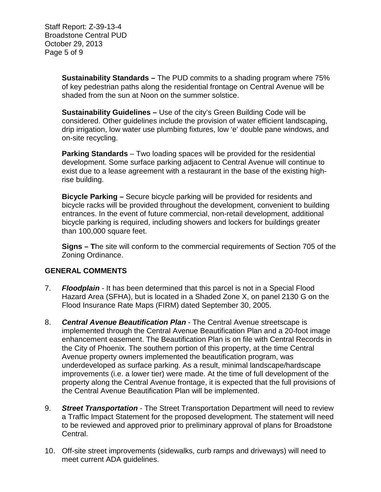Staff Report: Z-39-13-4 Broadstone Central PUD October 29, 2013 Page 5 of 9

> **Sustainability Standards –** The PUD commits to a shading program where 75% of key pedestrian paths along the residential frontage on Central Avenue will be shaded from the sun at Noon on the summer solstice.

> **Sustainability Guidelines –** Use of the city's Green Building Code will be considered. Other guidelines include the provision of water efficient landscaping, drip irrigation, low water use plumbing fixtures, low 'e' double pane windows, and on-site recycling.

> **Parking Standards** – Two loading spaces will be provided for the residential development. Some surface parking adjacent to Central Avenue will continue to exist due to a lease agreement with a restaurant in the base of the existing highrise building.

**Bicycle Parking –** Secure bicycle parking will be provided for residents and bicycle racks will be provided throughout the development, convenient to building entrances. In the event of future commercial, non-retail development, additional bicycle parking is required, including showers and lockers for buildings greater than 100,000 square feet.

**Signs – T**he site will conform to the commercial requirements of Section 705 of the Zoning Ordinance.

## **GENERAL COMMENTS**

- 7. *Floodplain* It has been determined that this parcel is not in a Special Flood Hazard Area (SFHA), but is located in a Shaded Zone X, on panel 2130 G on the Flood Insurance Rate Maps (FIRM) dated September 30, 2005.
- 8. *Central Avenue Beautification Plan*  The Central Avenue streetscape is implemented through the Central Avenue Beautification Plan and a 20-foot image enhancement easement. The Beautification Plan is on file with Central Records in the City of Phoenix. The southern portion of this property, at the time Central Avenue property owners implemented the beautification program, was underdeveloped as surface parking. As a result, minimal landscape/hardscape improvements (i.e. a lower tier) were made. At the time of full development of the property along the Central Avenue frontage, it is expected that the full provisions of the Central Avenue Beautification Plan will be implemented.
- 9. *Street Transportation* The Street Transportation Department will need to review a Traffic Impact Statement for the proposed development. The statement will need to be reviewed and approved prior to preliminary approval of plans for Broadstone Central.
- 10. Off-site street improvements (sidewalks, curb ramps and driveways) will need to meet current ADA guidelines.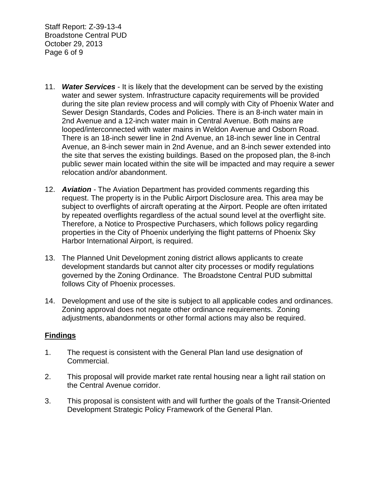Staff Report: Z-39-13-4 Broadstone Central PUD October 29, 2013 Page 6 of 9

- 11. *Water Services* It is likely that the development can be served by the existing water and sewer system. Infrastructure capacity requirements will be provided during the site plan review process and will comply with City of Phoenix Water and Sewer Design Standards, Codes and Policies. There is an 8-inch water main in 2nd Avenue and a 12-inch water main in Central Avenue. Both mains are looped/interconnected with water mains in Weldon Avenue and Osborn Road. There is an 18-inch sewer line in 2nd Avenue, an 18-inch sewer line in Central Avenue, an 8-inch sewer main in 2nd Avenue, and an 8-inch sewer extended into the site that serves the existing buildings. Based on the proposed plan, the 8-inch public sewer main located within the site will be impacted and may require a sewer relocation and/or abandonment.
- 12. *Aviation -* The Aviation Department has provided comments regarding this request. The property is in the Public Airport Disclosure area. This area may be subject to overflights of aircraft operating at the Airport. People are often irritated by repeated overflights regardless of the actual sound level at the overflight site. Therefore, a Notice to Prospective Purchasers, which follows policy regarding properties in the City of Phoenix underlying the flight patterns of Phoenix Sky Harbor International Airport, is required.
- 13. The Planned Unit Development zoning district allows applicants to create development standards but cannot alter city processes or modify regulations governed by the Zoning Ordinance. The Broadstone Central PUD submittal follows City of Phoenix processes.
- 14. Development and use of the site is subject to all applicable codes and ordinances. Zoning approval does not negate other ordinance requirements. Zoning adjustments, abandonments or other formal actions may also be required.

## **Findings**

- 1. The request is consistent with the General Plan land use designation of Commercial.
- 2. This proposal will provide market rate rental housing near a light rail station on the Central Avenue corridor.
- 3. This proposal is consistent with and will further the goals of the Transit-Oriented Development Strategic Policy Framework of the General Plan.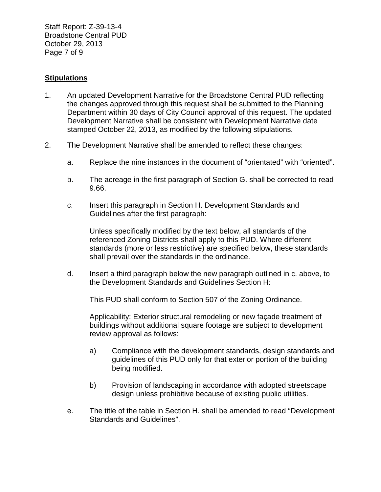Staff Report: Z-39-13-4 Broadstone Central PUD October 29, 2013 Page 7 of 9

## **Stipulations**

- 1. An updated Development Narrative for the Broadstone Central PUD reflecting the changes approved through this request shall be submitted to the Planning Department within 30 days of City Council approval of this request. The updated Development Narrative shall be consistent with Development Narrative date stamped October 22, 2013, as modified by the following stipulations.
- 2. The Development Narrative shall be amended to reflect these changes:
	- a. Replace the nine instances in the document of "orientated" with "oriented".
	- b. The acreage in the first paragraph of Section G. shall be corrected to read 9.66.
	- c. Insert this paragraph in Section H. Development Standards and Guidelines after the first paragraph:

Unless specifically modified by the text below, all standards of the referenced Zoning Districts shall apply to this PUD. Where different standards (more or less restrictive) are specified below, these standards shall prevail over the standards in the ordinance.

d. Insert a third paragraph below the new paragraph outlined in c. above, to the Development Standards and Guidelines Section H:

This PUD shall conform to Section 507 of the Zoning Ordinance.

Applicability: Exterior structural remodeling or new façade treatment of buildings without additional square footage are subject to development review approval as follows:

- a) Compliance with the development standards, design standards and guidelines of this PUD only for that exterior portion of the building being modified.
- b) Provision of landscaping in accordance with adopted streetscape design unless prohibitive because of existing public utilities.
- e. The title of the table in Section H. shall be amended to read "Development Standards and Guidelines".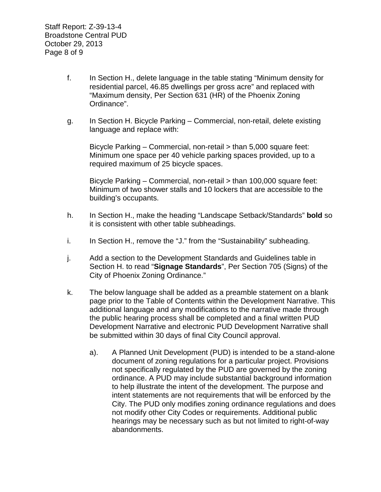Staff Report: Z-39-13-4 Broadstone Central PUD October 29, 2013 Page 8 of 9

- f. In Section H., delete language in the table stating "Minimum density for residential parcel, 46.85 dwellings per gross acre" and replaced with "Maximum density, Per Section 631 (HR) of the Phoenix Zoning Ordinance".
- g. In Section H. Bicycle Parking Commercial, non-retail, delete existing language and replace with:

Bicycle Parking – Commercial, non-retail > than 5,000 square feet: Minimum one space per 40 vehicle parking spaces provided, up to a required maximum of 25 bicycle spaces.

Bicycle Parking – Commercial, non-retail > than 100,000 square feet: Minimum of two shower stalls and 10 lockers that are accessible to the building's occupants.

- h. In Section H., make the heading "Landscape Setback/Standards" **bold** so it is consistent with other table subheadings.
- i. In Section H., remove the "J." from the "Sustainability" subheading.
- j. Add a section to the Development Standards and Guidelines table in Section H. to read "**Signage Standards**", Per Section 705 (Signs) of the City of Phoenix Zoning Ordinance."
- k. The below language shall be added as a preamble statement on a blank page prior to the Table of Contents within the Development Narrative. This additional language and any modifications to the narrative made through the public hearing process shall be completed and a final written PUD Development Narrative and electronic PUD Development Narrative shall be submitted within 30 days of final City Council approval.
	- a). A Planned Unit Development (PUD) is intended to be a stand-alone document of zoning regulations for a particular project. Provisions not specifically regulated by the PUD are governed by the zoning ordinance. A PUD may include substantial background information to help illustrate the intent of the development. The purpose and intent statements are not requirements that will be enforced by the City. The PUD only modifies zoning ordinance regulations and does not modify other City Codes or requirements. Additional public hearings may be necessary such as but not limited to right-of-way abandonments.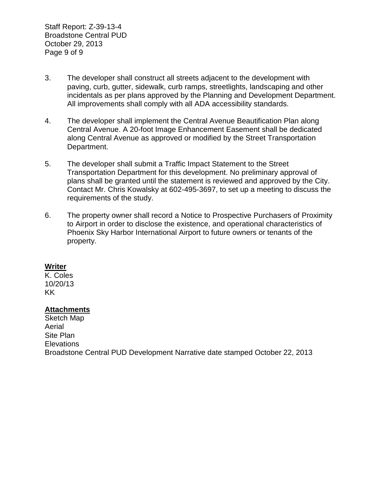Staff Report: Z-39-13-4 Broadstone Central PUD October 29, 2013 Page 9 of 9

- 3. The developer shall construct all streets adjacent to the development with paving, curb, gutter, sidewalk, curb ramps, streetlights, landscaping and other incidentals as per plans approved by the Planning and Development Department. All improvements shall comply with all ADA accessibility standards.
- 4. The developer shall implement the Central Avenue Beautification Plan along Central Avenue. A 20-foot Image Enhancement Easement shall be dedicated along Central Avenue as approved or modified by the Street Transportation Department.
- 5. The developer shall submit a Traffic Impact Statement to the Street Transportation Department for this development. No preliminary approval of plans shall be granted until the statement is reviewed and approved by the City. Contact Mr. Chris Kowalsky at 602-495-3697, to set up a meeting to discuss the requirements of the study.
- 6. The property owner shall record a Notice to Prospective Purchasers of Proximity to Airport in order to disclose the existence, and operational characteristics of Phoenix Sky Harbor International Airport to future owners or tenants of the property.

## **Writer**

K. Coles 10/20/13 KK

## **Attachments**

Sketch Map Aerial Site Plan **Elevations** Broadstone Central PUD Development Narrative date stamped October 22, 2013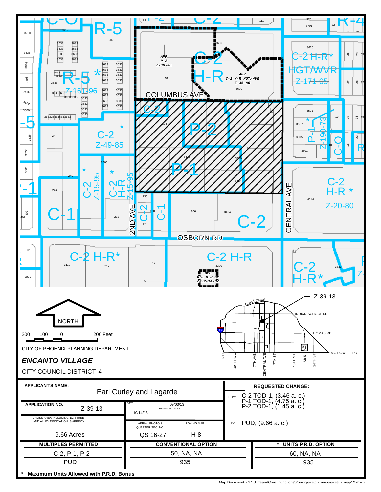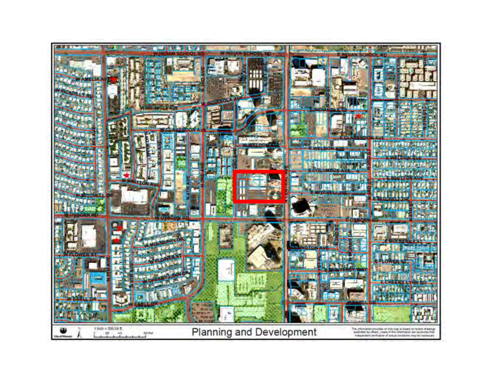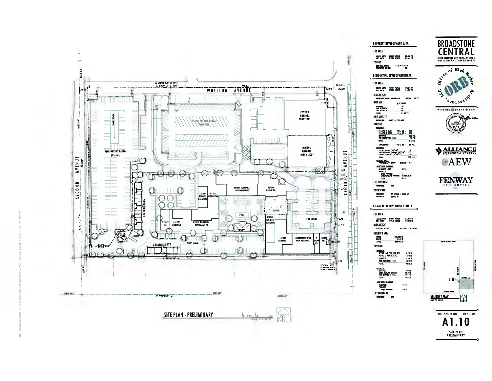